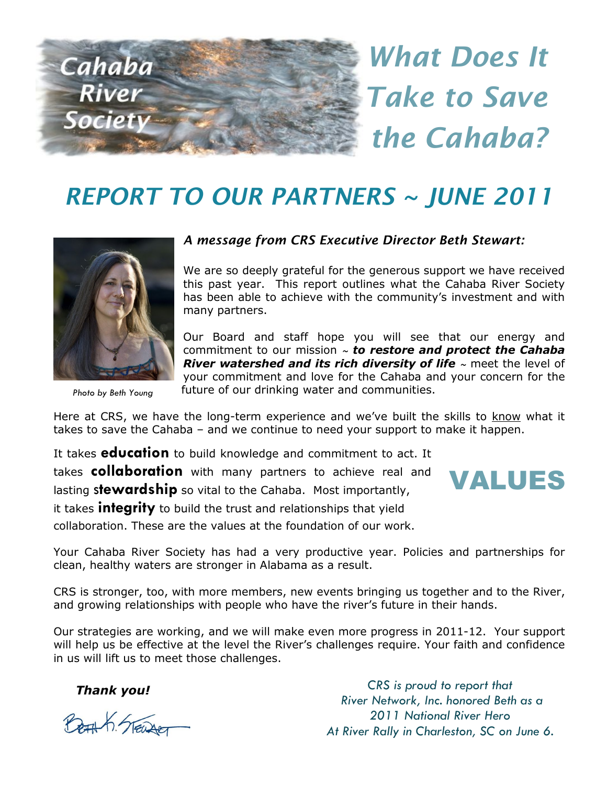

What Does It Take to Save the Cahaba?

### REPORT TO OUR PARTNERS ~ JUNE 2011



Photo by Beth Young

#### A message from CRS Executive Director Beth Stewart:

We are so deeply grateful for the generous support we have received this past year. This report outlines what the Cahaba River Society has been able to achieve with the community's investment and with many partners.

Our Board and staff hope you will see that our energy and commitment to our mission **~** to restore and protect the Cahaba River watershed and its rich diversity of life **~** meet the level of your commitment and love for the Cahaba and your concern for the future of our drinking water and communities.

Here at CRS, we have the long-term experience and we've built the skills to know what it takes to save the Cahaba – and we continue to need your support to make it happen.

It takes **education** to build knowledge and commitment to act. It takes collaboration with many partners to achieve real and lasting stewardship so vital to the Cahaba. Most importantly,



collaboration. These are the values at the foundation of our work.

Your Cahaba River Society has had a very productive year. Policies and partnerships for clean, healthy waters are stronger in Alabama as a result.

CRS is stronger, too, with more members, new events bringing us together and to the River, and growing relationships with people who have the river's future in their hands.

Our strategies are working, and we will make even more progress in 2011-12. Your support will help us be effective at the level the River's challenges require. Your faith and confidence in us will lift us to meet those challenges.

Thank you!

A STEWART

CRS is proud to report that River Network, Inc. honored Beth as a 2011 National River Hero At River Rally in Charleston, SC on June 6.

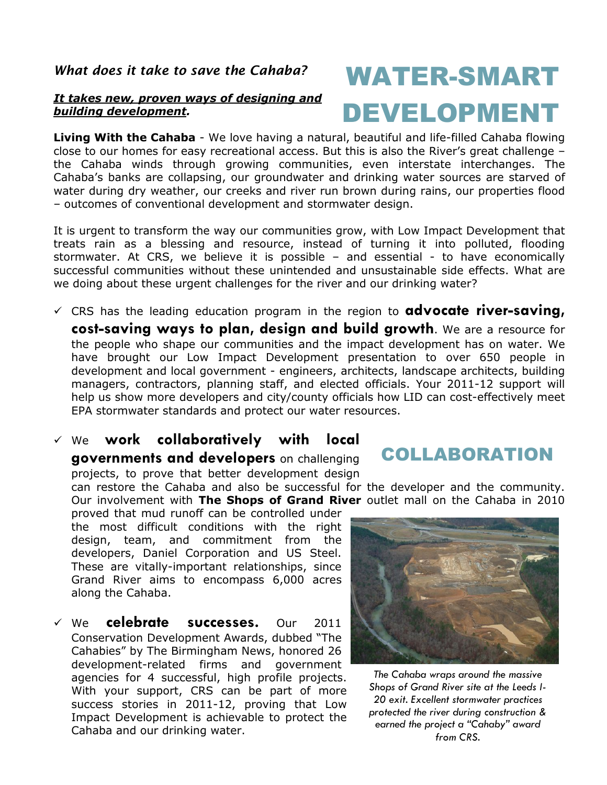#### What does it take to save the Cahaba?

#### It takes new, proven ways of designing and building development.

# WATER-SMART DEVELOPMENT

Living With the Cahaba - We love having a natural, beautiful and life-filled Cahaba flowing close to our homes for easy recreational access. But this is also the River's great challenge – the Cahaba winds through growing communities, even interstate interchanges. The Cahaba's banks are collapsing, our groundwater and drinking water sources are starved of water during dry weather, our creeks and river run brown during rains, our properties flood – outcomes of conventional development and stormwater design.

It is urgent to transform the way our communities grow, with Low Impact Development that treats rain as a blessing and resource, instead of turning it into polluted, flooding stormwater. At CRS, we believe it is possible - and essential - to have economically successful communities without these unintended and unsustainable side effects. What are we doing about these urgent challenges for the river and our drinking water?

 $\checkmark$  CRS has the leading education program in the region to **advocate river-saving,** cost-saving ways to plan, design and build growth. We are a resource for the people who shape our communities and the impact development has on water. We have brought our Low Impact Development presentation to over 650 people in development and local government - engineers, architects, landscape architects, building

managers, contractors, planning staff, and elected officials. Your 2011-12 support will help us show more developers and city/county officials how LID can cost-effectively meet EPA stormwater standards and protect our water resources.

 $\checkmark$  we work collaboratively with local governments and developers on challenging projects, to prove that better development design

can restore the Cahaba and also be successful for the developer and the community. Our involvement with The Shops of Grand River outlet mall on the Cahaba in 2010

proved that mud runoff can be controlled under the most difficult conditions with the right design, team, and commitment from the developers, Daniel Corporation and US Steel. These are vitally-important relationships, since Grand River aims to encompass 6,000 acres along the Cahaba.

 $\checkmark$  We **celebrate successes.** Our 2011 Conservation Development Awards, dubbed "The Cahabies" by The Birmingham News, honored 26 development-related firms and government agencies for 4 successful, high profile projects. With your support, CRS can be part of more success stories in 2011-12, proving that Low Impact Development is achievable to protect the Cahaba and our drinking water.



The Cahaba wraps around the massive Shops of Grand River site at the Leeds I-20 exit. Excellent stormwater practices protected the river during construction & earned the project a "Cahaby" award from CRS.

### COLLABORATION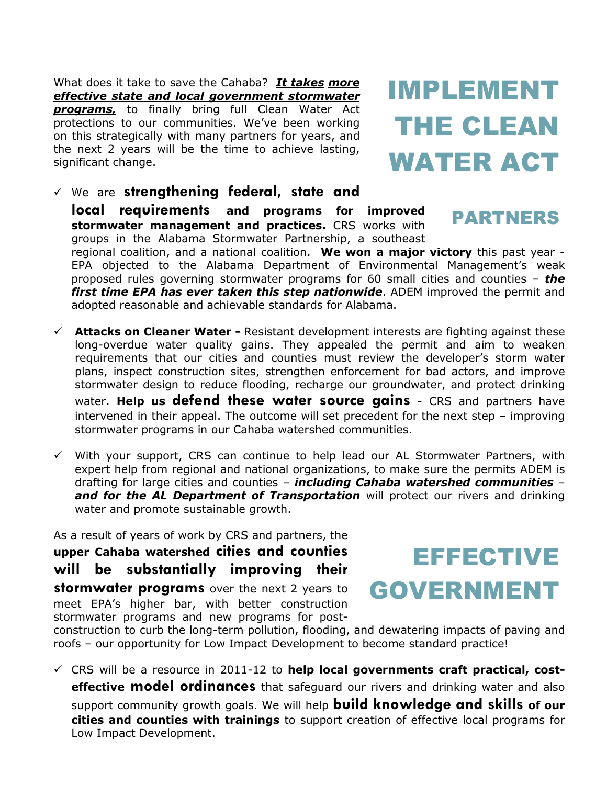What does it take to save the Cahaba? It takes more effective state and local government stormwater **programs**, to finally bring full Clean Water Act protections to our communities. We've been working on this strategically with many partners for years, and the next 2 years will be the time to achieve lasting, significant change.

# IMPLEMENT THE CLEAN WATER ACT

 $\checkmark$  We are strengthening federal, state and local requirements and programs for improved stormwater management and practices. CRS works with groups in the Alabama Stormwater Partnership, a southeast

PARTNERS

regional coalition, and a national coalition. We won a major victory this past year -EPA objected to the Alabama Department of Environmental Management's weak proposed rules governing stormwater programs for 60 small cities and counties  $-$  the first time EPA has ever taken this step nationwide. ADEM improved the permit and adopted reasonable and achievable standards for Alabama.

- $\checkmark$  Attacks on Cleaner Water Resistant development interests are fighting against these long-overdue water quality gains. They appealed the permit and aim to weaken requirements that our cities and counties must review the developer's storm water plans, inspect construction sites, strengthen enforcement for bad actors, and improve stormwater design to reduce flooding, recharge our groundwater, and protect drinking water. Help us defend these water source gains - CRS and partners have intervened in their appeal. The outcome will set precedent for the next step – improving stormwater programs in our Cahaba watershed communities.
- $\checkmark$  With your support, CRS can continue to help lead our AL Stormwater Partners, with expert help from regional and national organizations, to make sure the permits ADEM is drafting for large cities and counties - *including Cahaba watershed communities* and for the AL Department of Transportation will protect our rivers and drinking water and promote sustainable growth.

As a result of years of work by CRS and partners, the

upper Cahaba watershed cities and counties will be substantially improving their **stormwater programs** over the next 2 years to meet EPA's higher bar, with better construction stormwater programs and new programs for post-

EFFECTIVE GOVERNMENT

construction to curb the long-term pollution, flooding, and dewatering impacts of paving and roofs – our opportunity for Low Impact Development to become standard practice!

 $\checkmark$  CRS will be a resource in 2011-12 to help local governments craft practical, costeffective model ordinances that safequard our rivers and drinking water and also support community growth goals. We will help **build knowledge and skills of our** cities and counties with trainings to support creation of effective local programs for Low Impact Development.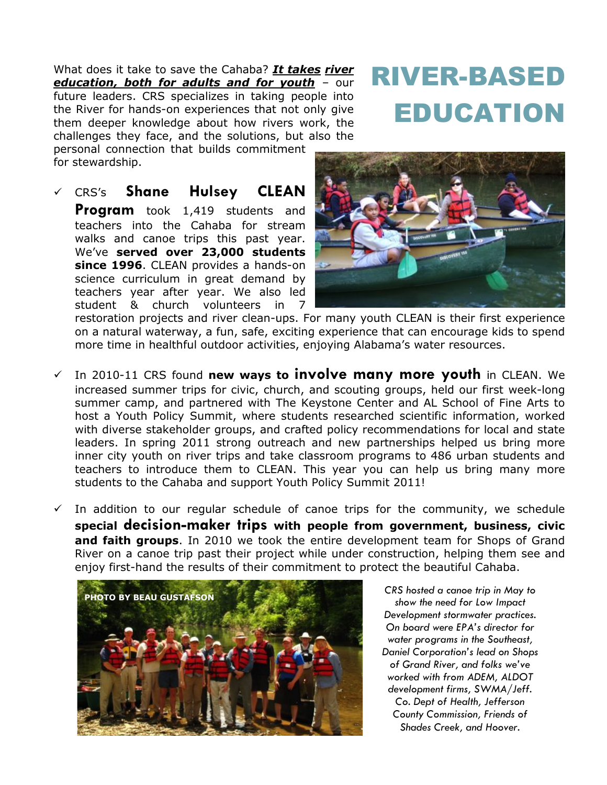What does it take to save the Cahaba? It takes river education, both for adults and for vouth - our future leaders. CRS specializes in taking people into the River for hands-on experiences that not only give them deeper knowledge about how rivers work, the challenges they face, and the solutions, but also the personal connection that builds commitment for stewardship.

### RIVER-BASED EDUCATION

 CRS's Shane Hulsey CLEAN **Program** took 1,419 students and teachers into the Cahaba for stream walks and canoe trips this past year. We've served over 23,000 students since 1996. CLEAN provides a hands-on science curriculum in great demand by teachers year after year. We also led student & church volunteers in 7



restoration projects and river clean-ups. For many youth CLEAN is their first experience on a natural waterway, a fun, safe, exciting experience that can encourage kids to spend more time in healthful outdoor activities, enjoying Alabama's water resources.

- In 2010-11 CRS found new ways to involve many more youth in CLEAN. We increased summer trips for civic, church, and scouting groups, held our first week-long summer camp, and partnered with The Keystone Center and AL School of Fine Arts to host a Youth Policy Summit, where students researched scientific information, worked with diverse stakeholder groups, and crafted policy recommendations for local and state leaders. In spring 2011 strong outreach and new partnerships helped us bring more inner city youth on river trips and take classroom programs to 486 urban students and teachers to introduce them to CLEAN. This year you can help us bring many more students to the Cahaba and support Youth Policy Summit 2011!
- $\checkmark$  In addition to our regular schedule of canoe trips for the community, we schedule special decision-maker trips with people from government, business, civic and faith groups. In 2010 we took the entire development team for Shops of Grand River on a canoe trip past their project while under construction, helping them see and enjoy first-hand the results of their commitment to protect the beautiful Cahaba.



CRS hosted a canoe trip in May to show the need for Low Impact Development stormwater practices. On board were EPA's director for water programs in the Southeast, Daniel Corporation's lead on Shops of Grand River, and folks we've worked with from ADEM, ALDOT development firms, SWMA/Jeff. Co. Dept of Health, Jefferson County Commission, Friends of Shades Creek, and Hoover.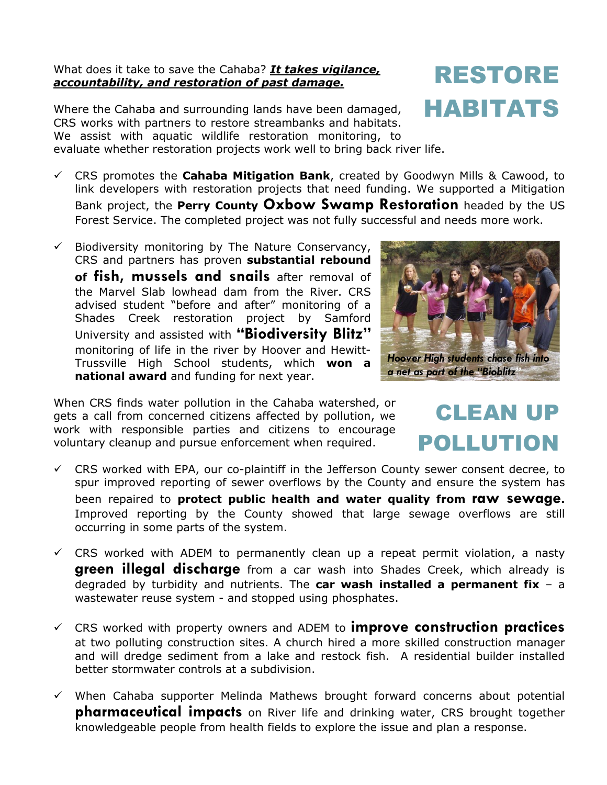#### What does it take to save the Cahaba? It takes vigilance, accountability, and restoration of past damage.

Where the Cahaba and surrounding lands have been damaged, CRS works with partners to restore streambanks and habitats. We assist with aquatic wildlife restoration monitoring, to evaluate whether restoration projects work well to bring back river life.

- $\checkmark$  CRS promotes the **Cahaba Mitigation Bank**, created by Goodwyn Mills & Cawood, to link developers with restoration projects that need funding. We supported a Mitigation Bank project, the **Perry County Oxbow Swamp Restoration** headed by the US Forest Service. The completed project was not fully successful and needs more work.
- $\checkmark$  Biodiversity monitoring by The Nature Conservancy, CRS and partners has proven substantial rebound of fish, mussels and snails after removal of the Marvel Slab lowhead dam from the River. CRS advised student "before and after" monitoring of a Shades Creek restoration project by Samford University and assisted with "Biodiversity Blitz" monitoring of life in the river by Hoover and Hewitt-Trussville High School students, which won a national award and funding for next year.

When CRS finds water pollution in the Cahaba watershed, or gets a call from concerned citizens affected by pollution, we work with responsible parties and citizens to encourage voluntary cleanup and pursue enforcement when required.

POLLUTION  $\checkmark$  CRS worked with EPA, our co-plaintiff in the Jefferson County sewer consent decree, to spur improved reporting of sewer overflows by the County and ensure the system has

been repaired to protect public health and water quality from raw sewage. Improved reporting by the County showed that large sewage overflows are still occurring in some parts of the system.

- $\checkmark$  CRS worked with ADEM to permanently clean up a repeat permit violation, a nasty green illegal discharge from a car wash into Shades Creek, which already is degraded by turbidity and nutrients. The car wash installed a permanent fix  $-$  a wastewater reuse system - and stopped using phosphates.
- $\checkmark$  CRS worked with property owners and ADEM to **improve construction practices** at two polluting construction sites. A church hired a more skilled construction manager and will dredge sediment from a lake and restock fish. A residential builder installed better stormwater controls at a subdivision.
- $\checkmark$  When Cahaba supporter Melinda Mathews brought forward concerns about potential **pharmaceutical impacts** on River life and drinking water, CRS brought together knowledgeable people from health fields to explore the issue and plan a response.



CLEAN UP

## RESTORE **HABITATS**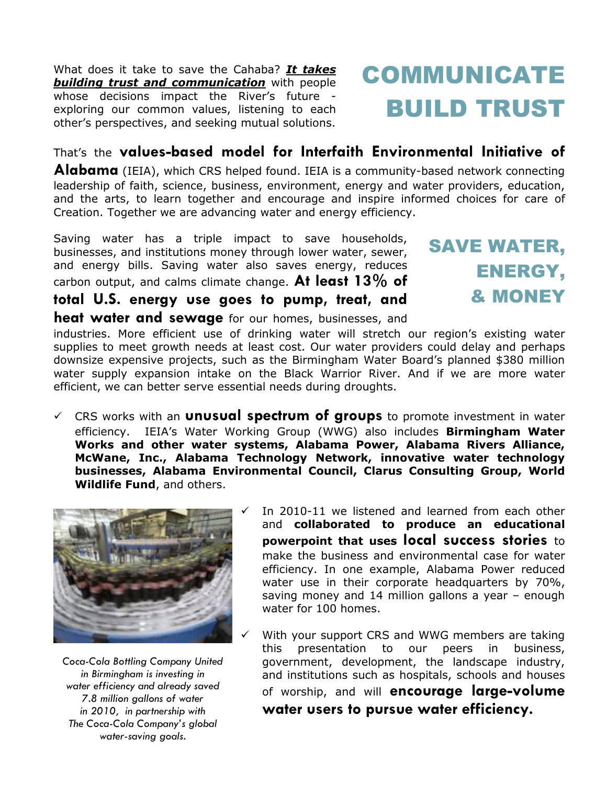What does it take to save the Cahaba? It takes **building trust and communication** with people whose decisions impact the River's future exploring our common values, listening to each other's perspectives, and seeking mutual solutions.

### COMMUNICATE BUILD TRUST

#### That's the values-based model for Interfaith Environmental Initiative of

**Alabama** (IEIA), which CRS helped found. IEIA is a community-based network connecting leadership of faith, science, business, environment, energy and water providers, education, and the arts, to learn together and encourage and inspire informed choices for care of Creation. Together we are advancing water and energy efficiency.

Saving water has a triple impact to save households, businesses, and institutions money through lower water, sewer, and energy bills. Saving water also saves energy, reduces carbon output, and calms climate change. At least  $13\%$  of

total U.S. energy use goes to pump, treat, and

**heat water and sewage** for our homes, businesses, and

SAVE WATER, ENERGY, & MONEY

industries. More efficient use of drinking water will stretch our region's existing water supplies to meet growth needs at least cost. Our water providers could delay and perhaps downsize expensive projects, such as the Birmingham Water Board's planned \$380 million water supply expansion intake on the Black Warrior River. And if we are more water efficient, we can better serve essential needs during droughts.

 $\checkmark$  CRS works with an **unusual spectrum of groups** to promote investment in water efficiency. IEIA's Water Working Group (WWG) also includes Birmingham Water Works and other water systems, Alabama Power, Alabama Rivers Alliance, McWane, Inc., Alabama Technology Network, innovative water technology businesses, Alabama Environmental Council, Clarus Consulting Group, World Wildlife Fund, and others.



Coca-Cola Bottling Company United in Birmingham is investing in water efficiency and already saved 7.8 million gallons of water in 2010, in partnership with The Coca-Cola Company's global water-saving goals.

 In 2010-11 we listened and learned from each other and collaborated to produce an educational powerpoint that uses local success stories to make the business and environmental case for water efficiency. In one example, Alabama Power reduced water use in their corporate headquarters by 70%, saving money and 14 million gallons a year – enough water for 100 homes.

 With your support CRS and WWG members are taking this presentation to our peers in business, government, development, the landscape industry, and institutions such as hospitals, schools and houses of worship, and will **encourage large-volume** water users to pursue water efficiency.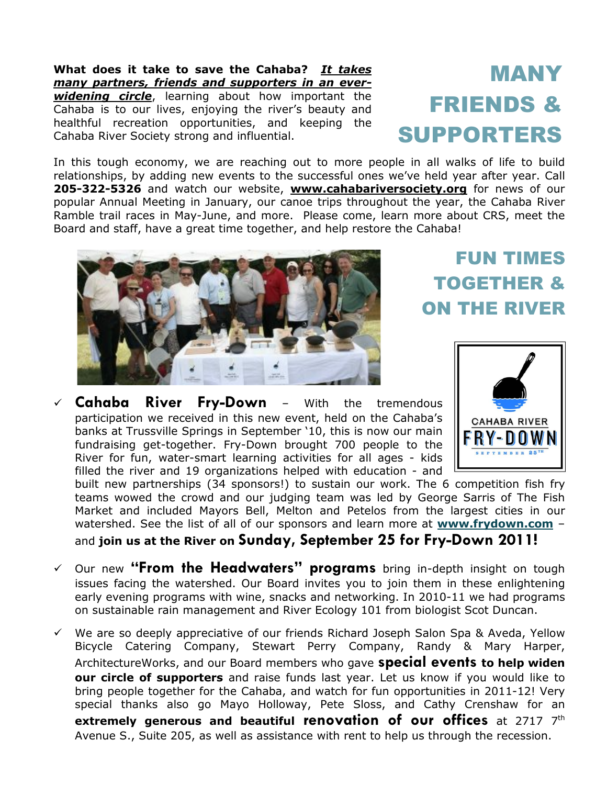What does it take to save the Cahaba? It takes many partners, friends and supporters in an everwidening circle, learning about how important the Cahaba is to our lives, enjoying the river's beauty and healthful recreation opportunities, and keeping the Cahaba River Society strong and influential.

MANY FRIENDS & SUPPORTERS

In this tough economy, we are reaching out to more people in all walks of life to build relationships, by adding new events to the successful ones we've held year after year. Call 205-322-5326 and watch our website, **www.cahabariversociety.org** for news of our popular Annual Meeting in January, our canoe trips throughout the year, the Cahaba River Ramble trail races in May-June, and more. Please come, learn more about CRS, meet the Board and staff, have a great time together, and help restore the Cahaba!



FUN TIMES TOGETHER & ON THE RIVER

 $\checkmark$  Cahaba River Fry-Down - With the tremendous participation we received in this new event, held on the Cahaba's banks at Trussville Springs in September '10, this is now our main fundraising get-together. Fry-Down brought 700 people to the River for fun, water-smart learning activities for all ages - kids filled the river and 19 organizations helped with education - and



built new partnerships (34 sponsors!) to sustain our work. The 6 competition fish fry teams wowed the crowd and our judging team was led by George Sarris of The Fish Market and included Mayors Bell, Melton and Petelos from the largest cities in our watershed. See the list of all of our sponsors and learn more at www.frydown.com -

and join us at the River on Sunday, September 25 for Fry-Down 2011!

- $\checkmark$  Our new "From the Headwaters" programs bring in-depth insight on tough issues facing the watershed. Our Board invites you to join them in these enlightening early evening programs with wine, snacks and networking. In 2010-11 we had programs on sustainable rain management and River Ecology 101 from biologist Scot Duncan.
- $\checkmark$  We are so deeply appreciative of our friends Richard Joseph Salon Spa & Aveda, Yellow Bicycle Catering Company, Stewart Perry Company, Randy & Mary Harper, ArchitectureWorks, and our Board members who gave special events to help widen our circle of supporters and raise funds last year. Let us know if you would like to bring people together for the Cahaba, and watch for fun opportunities in 2011-12! Very special thanks also go Mayo Holloway, Pete Sloss, and Cathy Crenshaw for an extremely generous and beautiful renovation of our offices at 2717  $7<sup>th</sup>$ Avenue S., Suite 205, as well as assistance with rent to help us through the recession.